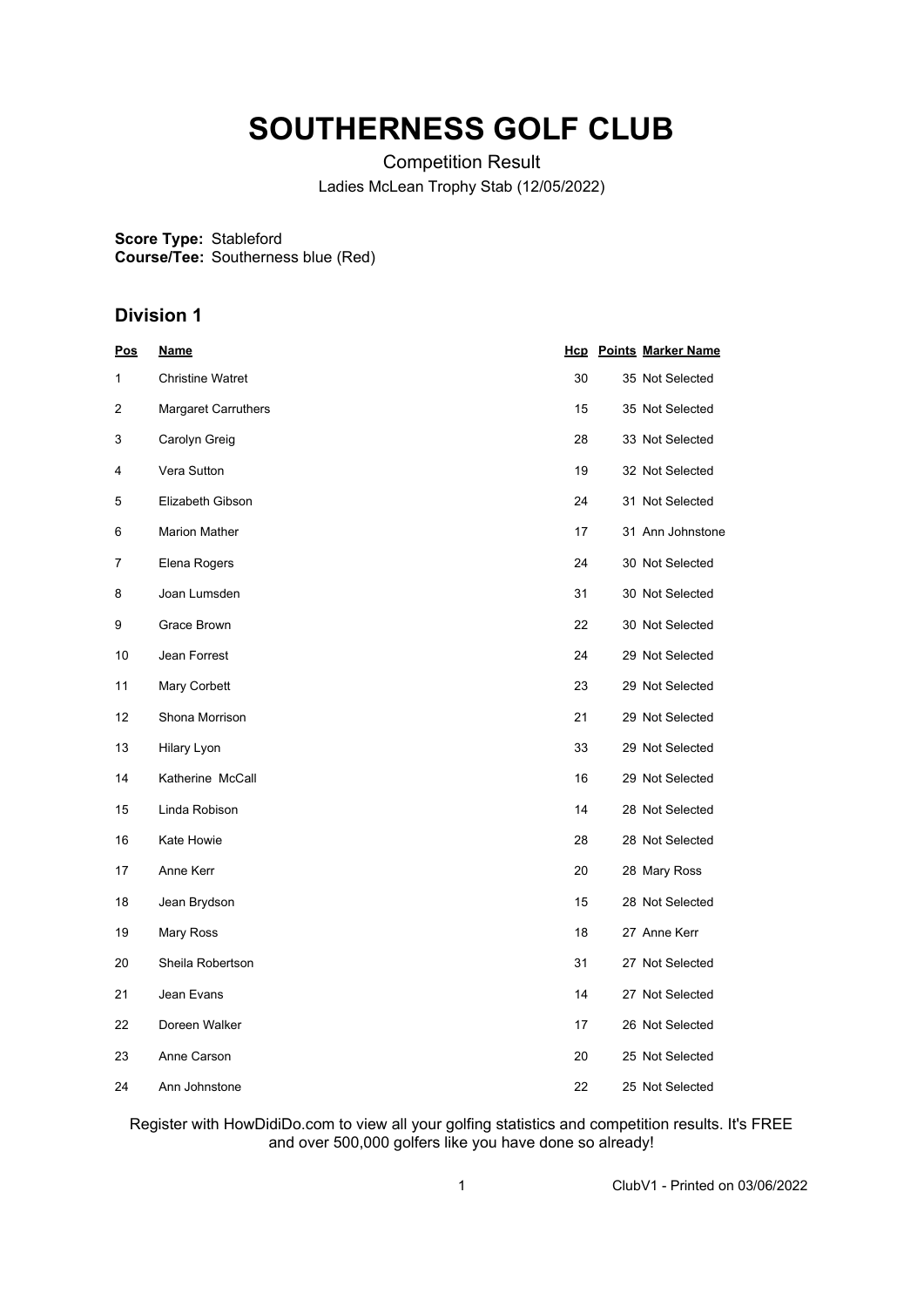## **SOUTHERNESS GOLF CLUB**

Competition Result Ladies McLean Trophy Stab (12/05/2022)

**Score Type:** Stableford **Course/Tee:** Southerness blue (Red)

## **Division 1**

| <u>Pos</u> | <u>Name</u>             |    | <b>Hcp</b> Points Marker Name |
|------------|-------------------------|----|-------------------------------|
| 1          | <b>Christine Watret</b> | 30 | 35 Not Selected               |
| 2          | Margaret Carruthers     | 15 | 35 Not Selected               |
| 3          | Carolyn Greig           | 28 | 33 Not Selected               |
| 4          | Vera Sutton             | 19 | 32 Not Selected               |
| 5          | Elizabeth Gibson        | 24 | 31 Not Selected               |
| 6          | <b>Marion Mather</b>    | 17 | 31 Ann Johnstone              |
| 7          | Elena Rogers            | 24 | 30 Not Selected               |
| 8          | Joan Lumsden            | 31 | 30 Not Selected               |
| 9          | Grace Brown             | 22 | 30 Not Selected               |
| 10         | Jean Forrest            | 24 | 29 Not Selected               |
| 11         | Mary Corbett            | 23 | 29 Not Selected               |
| 12         | Shona Morrison          | 21 | 29 Not Selected               |
| 13         | Hilary Lyon             | 33 | 29 Not Selected               |
| 14         | Katherine McCall        | 16 | 29 Not Selected               |
| 15         | Linda Robison           | 14 | 28 Not Selected               |
| 16         | Kate Howie              | 28 | 28 Not Selected               |
| 17         | Anne Kerr               | 20 | 28 Mary Ross                  |
| 18         | Jean Brydson            | 15 | 28 Not Selected               |
| 19         | Mary Ross               | 18 | 27 Anne Kerr                  |
| 20         | Sheila Robertson        | 31 | 27 Not Selected               |
| 21         | Jean Evans              | 14 | 27 Not Selected               |
| 22         | Doreen Walker           | 17 | 26 Not Selected               |
| 23         | Anne Carson             | 20 | 25 Not Selected               |
| 24         | Ann Johnstone           | 22 | 25 Not Selected               |

Register with HowDidiDo.com to view all your golfing statistics and competition results. It's FREE and over 500,000 golfers like you have done so already!